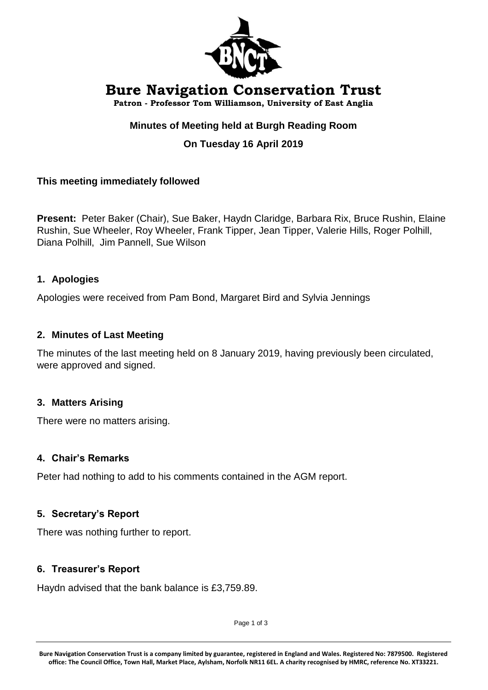

# **Bure Navigation Conservation Trust**

**Patron - Professor Tom Williamson, University of East Anglia**

# **Minutes of Meeting held at Burgh Reading Room**

# **On Tuesday 16 April 2019**

## **This meeting immediately followed**

**Present:** Peter Baker (Chair), Sue Baker, Haydn Claridge, Barbara Rix, Bruce Rushin, Elaine Rushin, Sue Wheeler, Roy Wheeler, Frank Tipper, Jean Tipper, Valerie Hills, Roger Polhill, Diana Polhill, Jim Pannell, Sue Wilson

## **1. Apologies**

Apologies were received from Pam Bond, Margaret Bird and Sylvia Jennings

#### **2. Minutes of Last Meeting**

The minutes of the last meeting held on 8 January 2019, having previously been circulated, were approved and signed.

## **3. Matters Arising**

There were no matters arising.

#### **4. Chair's Remarks**

Peter had nothing to add to his comments contained in the AGM report.

#### **5. Secretary's Report**

There was nothing further to report.

#### **6. Treasurer's Report**

Haydn advised that the bank balance is £3,759.89.

Page 1 of 3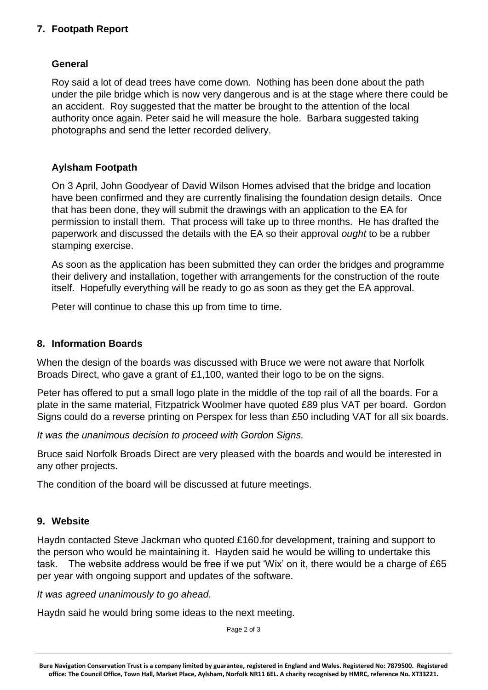## **7. Footpath Report**

## **General**

Roy said a lot of dead trees have come down. Nothing has been done about the path under the pile bridge which is now very dangerous and is at the stage where there could be an accident. Roy suggested that the matter be brought to the attention of the local authority once again. Peter said he will measure the hole. Barbara suggested taking photographs and send the letter recorded delivery.

## **Aylsham Footpath**

On 3 April, John Goodyear of David Wilson Homes advised that the bridge and location have been confirmed and they are currently finalising the foundation design details. Once that has been done, they will submit the drawings with an application to the EA for permission to install them. That process will take up to three months. He has drafted the paperwork and discussed the details with the EA so their approval *ought* to be a rubber stamping exercise.

As soon as the application has been submitted they can order the bridges and programme their delivery and installation, together with arrangements for the construction of the route itself. Hopefully everything will be ready to go as soon as they get the EA approval.

Peter will continue to chase this up from time to time.

## **8. Information Boards**

When the design of the boards was discussed with Bruce we were not aware that Norfolk Broads Direct, who gave a grant of £1,100, wanted their logo to be on the signs.

Peter has offered to put a small logo plate in the middle of the top rail of all the boards. For a plate in the same material, Fitzpatrick Woolmer have quoted £89 plus VAT per board. Gordon Signs could do a reverse printing on Perspex for less than £50 including VAT for all six boards.

*It was the unanimous decision to proceed with Gordon Signs.*

Bruce said Norfolk Broads Direct are very pleased with the boards and would be interested in any other projects.

The condition of the board will be discussed at future meetings.

# **9. Website**

Haydn contacted Steve Jackman who quoted £160.for development, training and support to the person who would be maintaining it. Hayden said he would be willing to undertake this task. The website address would be free if we put 'Wix' on it, there would be a charge of £65 per year with ongoing support and updates of the software.

*It was agreed unanimously to go ahead.*

Haydn said he would bring some ideas to the next meeting.

Page 2 of 3